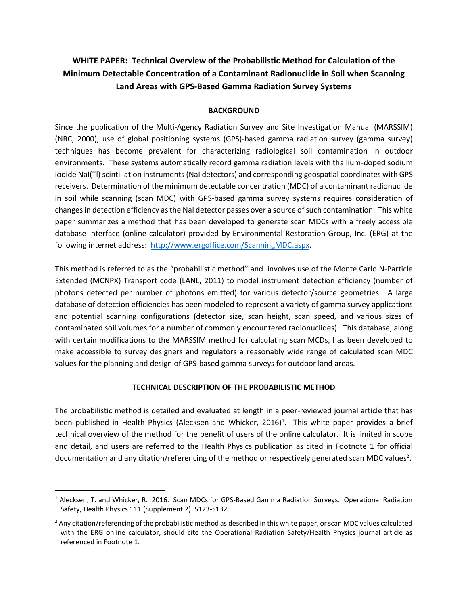## **WHITE PAPER: Technical Overview of the Probabilistic Method for Calculation of the Minimum Detectable Concentration of a Contaminant Radionuclide in Soil when Scanning Land Areas with GPS-Based Gamma Radiation Survey Systems**

## **BACKGROUND**

Since the publication of the Multi-Agency Radiation Survey and Site Investigation Manual (MARSSIM) (NRC, 2000), use of global positioning systems (GPS)-based gamma radiation survey (gamma survey) techniques has become prevalent for characterizing radiological soil contamination in outdoor environments. These systems automatically record gamma radiation levels with thallium-doped sodium iodide NaI(Tl) scintillation instruments (NaI detectors) and corresponding geospatial coordinates with GPS receivers. Determination of the minimum detectable concentration (MDC) of a contaminant radionuclide in soil while scanning (scan MDC) with GPS-based gamma survey systems requires consideration of changes in detection efficiency as the NaI detector passes over a source of such contamination. This white paper summarizes a method that has been developed to generate scan MDCs with a freely accessible database interface (online calculator) provided by Environmental Restoration Group, Inc. (ERG) at the following internet address: [http://www.ergoffice.com/ScanningMDC.](http://www.ergoffice.com/ScanningMDC.aspx)aspx.

This method is referred to as the "probabilistic method" and involves use of the Monte Carlo N-Particle Extended (MCNPX) Transport code (LANL, 2011) to model instrument detection efficiency (number of photons detected per number of photons emitted) for various detector/source geometries. A large database of detection efficiencies has been modeled to represent a variety of gamma survey applications and potential scanning configurations (detector size, scan height, scan speed, and various sizes of contaminated soil volumes for a number of commonly encountered radionuclides). This database, along with certain modifications to the MARSSIM method for calculating scan MCDs, has been developed to make accessible to survey designers and regulators a reasonably wide range of calculated scan MDC values for the planning and design of GPS-based gamma surveys for outdoor land areas.

## **TECHNICAL DESCRIPTION OF THE PROBABILISTIC METHOD**

The probabilistic method is detailed and evaluated at length in a peer-reviewed journal article that has been published in Health Physics (Alecksen and Whicker, 2016)<sup>1</sup>. This white paper provides a brief technical overview of the method for the benefit of users of the online calculator. It is limited in scope and detail, and users are referred to the Health Physics publication as cited in Footnote 1 for official documentation and any citation/referencing of the method or respectively generated scan MDC values<sup>2</sup>.

l

<sup>&</sup>lt;sup>1</sup> Alecksen, T. and Whicker, R. 2016. Scan MDCs for GPS-Based Gamma Radiation Surveys. Operational Radiation Safety, Health Physics 111 (Supplement 2): S123-S132.

<sup>&</sup>lt;sup>2</sup> Any citation/referencing of the probabilistic method as described in this white paper, or scan MDC values calculated with the ERG online calculator, should cite the Operational Radiation Safety/Health Physics journal article as referenced in Footnote 1.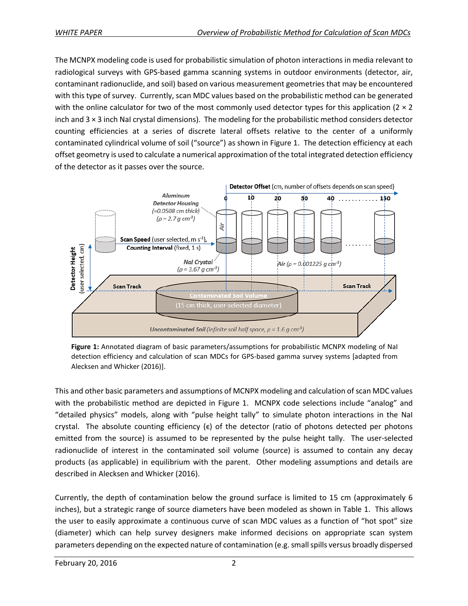The MCNPX modeling code is used for probabilistic simulation of photon interactions in media relevant to radiological surveys with GPS-based gamma scanning systems in outdoor environments (detector, air, contaminant radionuclide, and soil) based on various measurement geometries that may be encountered with this type of survey. Currently, scan MDC values based on the probabilistic method can be generated with the online calculator for two of the most commonly used detector types for this application ( $2 \times 2$ ) inch and 3 × 3 inch NaI crystal dimensions). The modeling for the probabilistic method considers detector counting efficiencies at a series of discrete lateral offsets relative to the center of a uniformly contaminated cylindrical volume of soil ("source") as shown in Figure 1. The detection efficiency at each offset geometry is used to calculate a numerical approximation of the total integrated detection efficiency of the detector as it passes over the source.



**Figure 1:** Annotated diagram of basic parameters/assumptions for probabilistic MCNPX modeling of NaI detection efficiency and calculation of scan MDCs for GPS-based gamma survey systems [adapted from Alecksen and Whicker (2016)].

This and other basic parameters and assumptions of MCNPX modeling and calculation of scan MDC values with the probabilistic method are depicted in Figure 1. MCNPX code selections include "analog" and "detailed physics" models, along with "pulse height tally" to simulate photon interactions in the NaI crystal. The absolute counting efficiency  $(\epsilon)$  of the detector (ratio of photons detected per photons emitted from the source) is assumed to be represented by the pulse height tally. The user-selected radionuclide of interest in the contaminated soil volume (source) is assumed to contain any decay products (as applicable) in equilibrium with the parent. Other modeling assumptions and details are described in Alecksen and Whicker (2016).

Currently, the depth of contamination below the ground surface is limited to 15 cm (approximately 6 inches), but a strategic range of source diameters have been modeled as shown in Table 1. This allows the user to easily approximate a continuous curve of scan MDC values as a function of "hot spot" size (diameter) which can help survey designers make informed decisions on appropriate scan system parameters depending on the expected nature of contamination (e.g. small spills versus broadly dispersed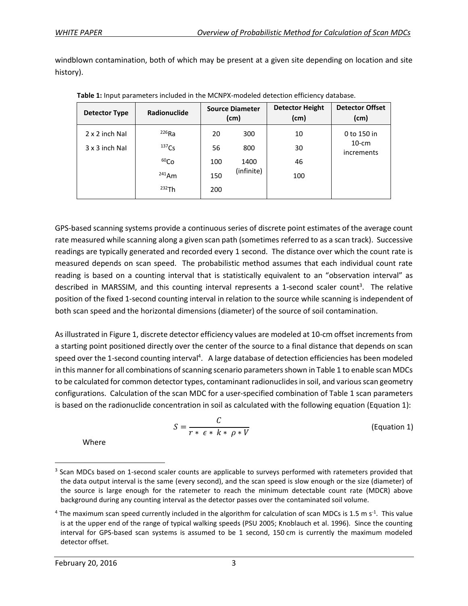windblown contamination, both of which may be present at a given site depending on location and site history).

| Detector Type  | Radionuclide     | <b>Source Diameter</b><br>(cm) |            | <b>Detector Height</b><br>(cm) | <b>Detector Offset</b><br>(cm) |
|----------------|------------------|--------------------------------|------------|--------------------------------|--------------------------------|
| 2 x 2 inch Nal | $226$ Ra         | 20                             | 300        | 10                             | 0 to 150 in                    |
| 3 x 3 inch Nal | $137$ Cs         | 56                             | 800        | 30                             | $10$ -cm<br>increments         |
|                | 60 <sub>Co</sub> | 100                            | 1400       | 46                             |                                |
|                | $241$ Am         | 150                            | (infinite) | 100                            |                                |
|                | 232Th            | 200                            |            |                                |                                |

**Table 1:** Input parameters included in the MCNPX-modeled detection efficiency database.

GPS-based scanning systems provide a continuous series of discrete point estimates of the average count rate measured while scanning along a given scan path (sometimes referred to as a scan track). Successive readings are typically generated and recorded every 1 second. The distance over which the count rate is measured depends on scan speed. The probabilistic method assumes that each individual count rate reading is based on a counting interval that is statistically equivalent to an "observation interval" as described in MARSSIM, and this counting interval represents a 1-second scaler count<sup>3</sup>. The relative position of the fixed 1-second counting interval in relation to the source while scanning is independent of both scan speed and the horizontal dimensions (diameter) of the source of soil contamination.

As illustrated in Figure 1, discrete detector efficiency values are modeled at 10-cm offset increments from a starting point positioned directly over the center of the source to a final distance that depends on scan speed over the 1-second counting interval<sup>4</sup>. A large database of detection efficiencies has been modeled in this manner for all combinations of scanning scenario parameters shown in Table 1 to enable scan MDCs to be calculated for common detector types, contaminant radionuclides in soil, and various scan geometry configurations. Calculation of the scan MDC for a user-specified combination of Table 1 scan parameters is based on the radionuclide concentration in soil as calculated with the following equation (Equation 1):

$$
S = \frac{C}{r * \epsilon * k * \rho * V}
$$
 (Equation 1)

Where

 $\overline{\phantom{a}}$ 

<sup>&</sup>lt;sup>3</sup> Scan MDCs based on 1-second scaler counts are applicable to surveys performed with ratemeters provided that the data output interval is the same (every second), and the scan speed is slow enough or the size (diameter) of the source is large enough for the ratemeter to reach the minimum detectable count rate (MDCR) above background during any counting interval as the detector passes over the contaminated soil volume.

<sup>&</sup>lt;sup>4</sup> The maximum scan speed currently included in the algorithm for calculation of scan MDCs is 1.5 m s<sup>-1</sup>. This value is at the upper end of the range of typical walking speeds (PSU 2005; Knoblauch et al. 1996). Since the counting interval for GPS-based scan systems is assumed to be 1 second, 150 cm is currently the maximum modeled detector offset.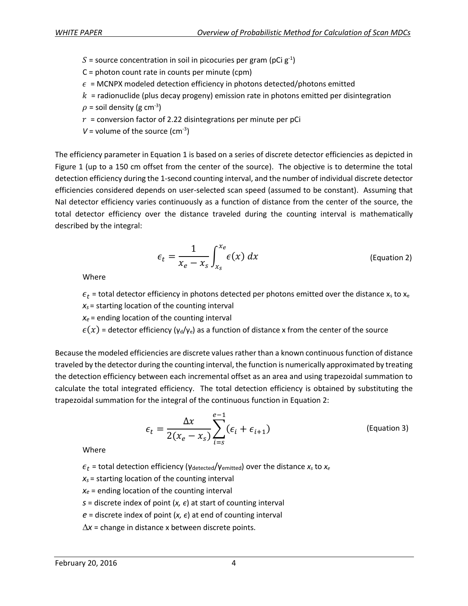- S = source concentration in soil in picocuries per gram (pCi  $g^{-1}$ )
- C = photon count rate in counts per minute (cpm)
- $\epsilon$  = MCNPX modeled detection efficiency in photons detected/photons emitted
- $k =$  radionuclide (plus decay progeny) emission rate in photons emitted per disintegration
- $\rho$  = soil density (g cm<sup>-3</sup>)
- $r =$  conversion factor of 2.22 disintegrations per minute per pCi
- $V =$  volume of the source (cm<sup>-3</sup>)

The efficiency parameter in Equation 1 is based on a series of discrete detector efficiencies as depicted in Figure 1 (up to a 150 cm offset from the center of the source). The objective is to determine the total detection efficiency during the 1-second counting interval, and the number of individual discrete detector efficiencies considered depends on user-selected scan speed (assumed to be constant). Assuming that NaI detector efficiency varies continuously as a function of distance from the center of the source, the total detector efficiency over the distance traveled during the counting interval is mathematically described by the integral:

$$
\epsilon_t = \frac{1}{x_e - x_s} \int_{x_s}^{x_e} \epsilon(x) \, dx \tag{Equation 2}
$$

Where

 $\epsilon_t$  = total detector efficiency in photons detected per photons emitted over the distance x<sub>s</sub> to x<sub>e</sub> *x<sup>s</sup>* = starting location of the counting interval

 $x_e$  = ending location of the counting interval

 $\epsilon(x)$  = detector efficiency ( $\gamma_d/\gamma_e$ ) as a function of distance x from the center of the source

Because the modeled efficiencies are discrete values rather than a known continuous function of distance traveled by the detector during the counting interval, the function is numerically approximated by treating the detection efficiency between each incremental offset as an area and using trapezoidal summation to calculate the total integrated efficiency. The total detection efficiency is obtained by substituting the trapezoidal summation for the integral of the continuous function in Equation 2:

$$
\epsilon_t = \frac{\Delta x}{2(x_e - x_s)} \sum_{i=s}^{e-1} (\epsilon_i + \epsilon_{i+1})
$$
 (Equation 3)

Where

- $\epsilon_t$  = total detection efficiency (γ<sub>detected</sub>/γ<sub>emitted</sub>) over the distance  $x_s$  to  $x_e$
- *x<sup>s</sup>* = starting location of the counting interval
- *x<sup>e</sup>* = ending location of the counting interval
- *s* = discrete index of point  $(x, \epsilon)$  at start of counting interval
- $e =$  discrete index of point  $(x, \epsilon)$  at end of counting interval
- $\Delta x$  = change in distance x between discrete points.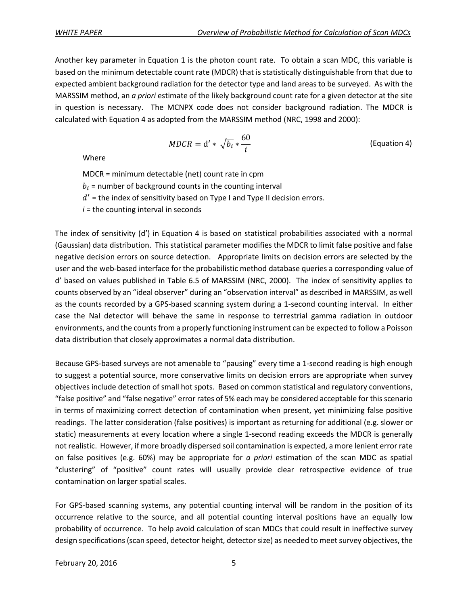Another key parameter in Equation 1 is the photon count rate. To obtain a scan MDC, this variable is based on the minimum detectable count rate (MDCR) that is statistically distinguishable from that due to expected ambient background radiation for the detector type and land areas to be surveyed. As with the MARSSIM method, an *a priori* estimate of the likely background count rate for a given detector at the site in question is necessary. The MCNPX code does not consider background radiation. The MDCR is calculated with Equation 4 as adopted from the MARSSIM method (NRC, 1998 and 2000):

$$
MDCR = d' * \sqrt{b_i} * \frac{60}{i}
$$
 (Equation 4)

Where

MDCR = minimum detectable (net) count rate in cpm

 $b_i$  = number of background counts in the counting interval

 $d'$  = the index of sensitivity based on Type I and Type II decision errors.

 $i =$  the counting interval in seconds

The index of sensitivity (d') in Equation 4 is based on statistical probabilities associated with a normal (Gaussian) data distribution. This statistical parameter modifies the MDCR to limit false positive and false negative decision errors on source detection. Appropriate limits on decision errors are selected by the user and the web-based interface for the probabilistic method database queries a corresponding value of d' based on values published in Table 6.5 of MARSSIM (NRC, 2000). The index of sensitivity applies to counts observed by an "ideal observer" during an "observation interval" as described in MARSSIM, as well as the counts recorded by a GPS-based scanning system during a 1-second counting interval. In either case the NaI detector will behave the same in response to terrestrial gamma radiation in outdoor environments, and the counts from a properly functioning instrument can be expected to follow a Poisson data distribution that closely approximates a normal data distribution.

Because GPS-based surveys are not amenable to "pausing" every time a 1-second reading is high enough to suggest a potential source, more conservative limits on decision errors are appropriate when survey objectives include detection of small hot spots. Based on common statistical and regulatory conventions, "false positive" and "false negative" error rates of 5% each may be considered acceptable for this scenario in terms of maximizing correct detection of contamination when present, yet minimizing false positive readings. The latter consideration (false positives) is important as returning for additional (e.g. slower or static) measurements at every location where a single 1-second reading exceeds the MDCR is generally not realistic. However, if more broadly dispersed soil contamination is expected, a more lenient error rate on false positives (e.g. 60%) may be appropriate for *a priori* estimation of the scan MDC as spatial "clustering" of "positive" count rates will usually provide clear retrospective evidence of true contamination on larger spatial scales.

For GPS-based scanning systems, any potential counting interval will be random in the position of its occurrence relative to the source, and all potential counting interval positions have an equally low probability of occurrence. To help avoid calculation of scan MDCs that could result in ineffective survey design specifications(scan speed, detector height, detector size) as needed to meetsurvey objectives, the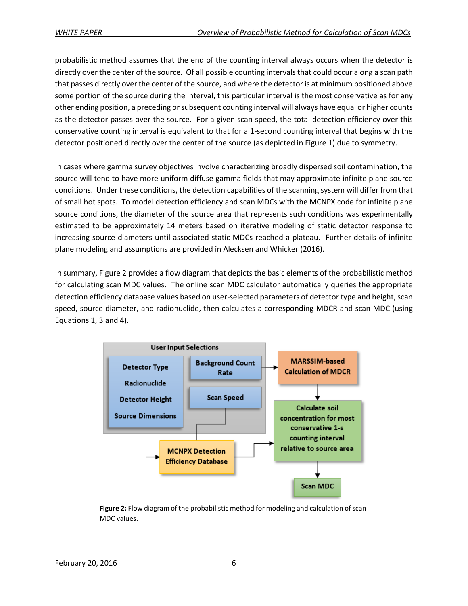probabilistic method assumes that the end of the counting interval always occurs when the detector is directly over the center of the source. Of all possible counting intervals that could occur along a scan path that passes directly over the center of the source, and where the detector is at minimum positioned above some portion of the source during the interval, this particular interval is the most conservative as for any other ending position, a preceding or subsequent counting interval will always have equal or higher counts as the detector passes over the source. For a given scan speed, the total detection efficiency over this conservative counting interval is equivalent to that for a 1-second counting interval that begins with the detector positioned directly over the center of the source (as depicted in Figure 1) due to symmetry.

In cases where gamma survey objectives involve characterizing broadly dispersed soil contamination, the source will tend to have more uniform diffuse gamma fields that may approximate infinite plane source conditions. Under these conditions, the detection capabilities of the scanning system will differ from that of small hot spots. To model detection efficiency and scan MDCs with the MCNPX code for infinite plane source conditions, the diameter of the source area that represents such conditions was experimentally estimated to be approximately 14 meters based on iterative modeling of static detector response to increasing source diameters until associated static MDCs reached a plateau. Further details of infinite plane modeling and assumptions are provided in Alecksen and Whicker (2016).

In summary, Figure 2 provides a flow diagram that depicts the basic elements of the probabilistic method for calculating scan MDC values. The online scan MDC calculator automatically queries the appropriate detection efficiency database values based on user-selected parameters of detector type and height, scan speed, source diameter, and radionuclide, then calculates a corresponding MDCR and scan MDC (using Equations 1, 3 and 4).



**Figure 2:** Flow diagram of the probabilistic method for modeling and calculation ofscan MDC values.